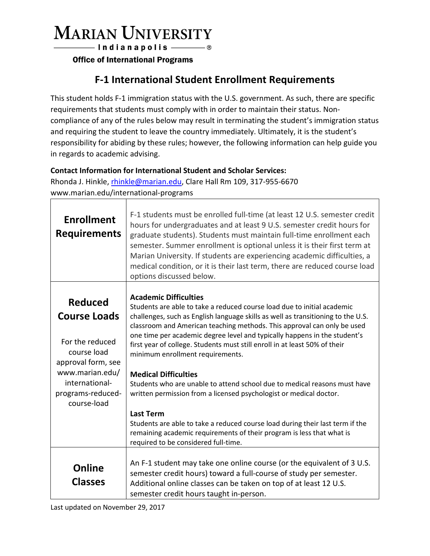# **MARIAN UNIVERSITY**

- Indianapolis ———— ®

**Office of International Programs** 

### **F-1 International Student Enrollment Requirements**

This student holds F-1 immigration status with the U.S. government. As such, there are specific requirements that students must comply with in order to maintain their status. Noncompliance of any of the rules below may result in terminating the student's immigration status and requiring the student to leave the country immediately. Ultimately, it is the student's responsibility for abiding by these rules; however, the following information can help guide you in regards to academic advising.

#### **Contact Information for International Student and Scholar Services:**

Rhonda J. Hinkle, [rhinkle@marian.edu,](mailto:rhinkle@marian.edu) Clare Hall Rm 109, 317-955-6670 www.marian.edu/international-programs

| <b>Enrollment</b><br><b>Requirements</b>                                                      | F-1 students must be enrolled full-time (at least 12 U.S. semester credit<br>hours for undergraduates and at least 9 U.S. semester credit hours for<br>graduate students). Students must maintain full-time enrollment each<br>semester. Summer enrollment is optional unless it is their first term at<br>Marian University. If students are experiencing academic difficulties, a<br>medical condition, or it is their last term, there are reduced course load<br>options discussed below. |
|-----------------------------------------------------------------------------------------------|-----------------------------------------------------------------------------------------------------------------------------------------------------------------------------------------------------------------------------------------------------------------------------------------------------------------------------------------------------------------------------------------------------------------------------------------------------------------------------------------------|
| <b>Reduced</b><br><b>Course Loads</b><br>For the reduced<br>course load<br>approval form, see | <b>Academic Difficulties</b><br>Students are able to take a reduced course load due to initial academic<br>challenges, such as English language skills as well as transitioning to the U.S.<br>classroom and American teaching methods. This approval can only be used<br>one time per academic degree level and typically happens in the student's<br>first year of college. Students must still enroll in at least 50% of their<br>minimum enrollment requirements.                         |
| www.marian.edu/<br>international-<br>programs-reduced-<br>course-load                         | <b>Medical Difficulties</b><br>Students who are unable to attend school due to medical reasons must have<br>written permission from a licensed psychologist or medical doctor.                                                                                                                                                                                                                                                                                                                |
|                                                                                               | <b>Last Term</b><br>Students are able to take a reduced course load during their last term if the<br>remaining academic requirements of their program is less that what is<br>required to be considered full-time.                                                                                                                                                                                                                                                                            |
| <b>Online</b><br><b>Classes</b>                                                               | An F-1 student may take one online course (or the equivalent of 3 U.S.<br>semester credit hours) toward a full-course of study per semester.<br>Additional online classes can be taken on top of at least 12 U.S.<br>semester credit hours taught in-person.                                                                                                                                                                                                                                  |